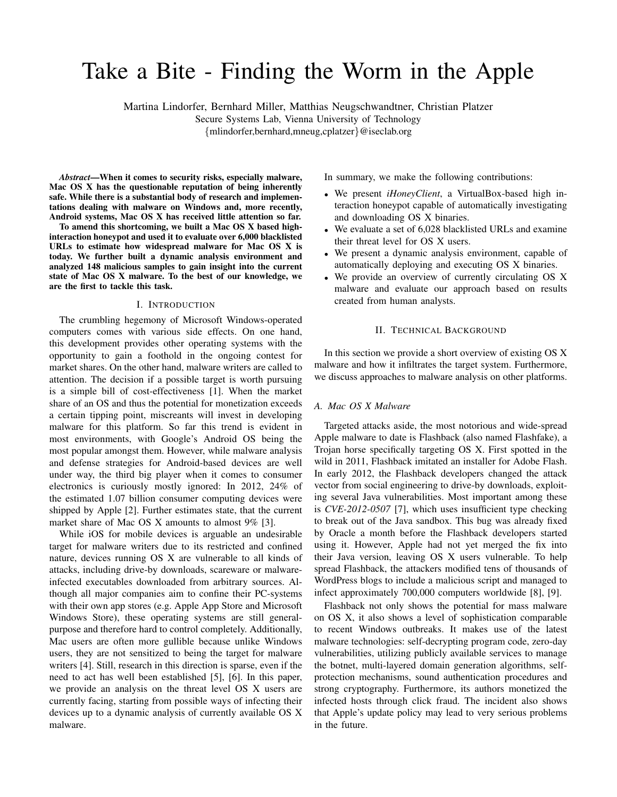# Take a Bite - Finding the Worm in the Apple

Martina Lindorfer, Bernhard Miller, Matthias Neugschwandtner, Christian Platzer Secure Systems Lab, Vienna University of Technology {mlindorfer,bernhard,mneug,cplatzer}@iseclab.org

*Abstract*—When it comes to security risks, especially malware, Mac OS X has the questionable reputation of being inherently safe. While there is a substantial body of research and implementations dealing with malware on Windows and, more recently, Android systems, Mac OS X has received little attention so far.

To amend this shortcoming, we built a Mac OS X based highinteraction honeypot and used it to evaluate over 6,000 blacklisted URLs to estimate how widespread malware for Mac OS X is today. We further built a dynamic analysis environment and analyzed 148 malicious samples to gain insight into the current state of Mac OS X malware. To the best of our knowledge, we are the first to tackle this task.

#### I. INTRODUCTION

The crumbling hegemony of Microsoft Windows-operated computers comes with various side effects. On one hand, this development provides other operating systems with the opportunity to gain a foothold in the ongoing contest for market shares. On the other hand, malware writers are called to attention. The decision if a possible target is worth pursuing is a simple bill of cost-effectiveness [1]. When the market share of an OS and thus the potential for monetization exceeds a certain tipping point, miscreants will invest in developing malware for this platform. So far this trend is evident in most environments, with Google's Android OS being the most popular amongst them. However, while malware analysis and defense strategies for Android-based devices are well under way, the third big player when it comes to consumer electronics is curiously mostly ignored: In 2012, 24% of the estimated 1.07 billion consumer computing devices were shipped by Apple [2]. Further estimates state, that the current market share of Mac OS X amounts to almost 9% [3].

While iOS for mobile devices is arguable an undesirable target for malware writers due to its restricted and confined nature, devices running OS X are vulnerable to all kinds of attacks, including drive-by downloads, scareware or malwareinfected executables downloaded from arbitrary sources. Although all major companies aim to confine their PC-systems with their own app stores (e.g. Apple App Store and Microsoft Windows Store), these operating systems are still generalpurpose and therefore hard to control completely. Additionally, Mac users are often more gullible because unlike Windows users, they are not sensitized to being the target for malware writers [4]. Still, research in this direction is sparse, even if the need to act has well been established [5], [6]. In this paper, we provide an analysis on the threat level OS X users are currently facing, starting from possible ways of infecting their devices up to a dynamic analysis of currently available OS X malware.

In summary, we make the following contributions:

- We present *iHoneyClient*, a VirtualBox-based high interaction honeypot capable of automatically investigating and downloading OS X binaries.
- We evaluate a set of 6,028 blacklisted URLs and examine their threat level for OS X users.
- We present a dynamic analysis environment, capable of automatically deploying and executing OS X binaries.
- We provide an overview of currently circulating OS X malware and evaluate our approach based on results created from human analysts.

## II. TECHNICAL BACKGROUND

In this section we provide a short overview of existing OS X malware and how it infiltrates the target system. Furthermore, we discuss approaches to malware analysis on other platforms.

#### *A. Mac OS X Malware*

Targeted attacks aside, the most notorious and wide-spread Apple malware to date is Flashback (also named Flashfake), a Trojan horse specifically targeting OS X. First spotted in the wild in 2011, Flashback imitated an installer for Adobe Flash. In early 2012, the Flashback developers changed the attack vector from social engineering to drive-by downloads, exploiting several Java vulnerabilities. Most important among these is *CVE-2012-0507* [7], which uses insufficient type checking to break out of the Java sandbox. This bug was already fixed by Oracle a month before the Flashback developers started using it. However, Apple had not yet merged the fix into their Java version, leaving OS X users vulnerable. To help spread Flashback, the attackers modified tens of thousands of WordPress blogs to include a malicious script and managed to infect approximately 700,000 computers worldwide [8], [9].

Flashback not only shows the potential for mass malware on OS X, it also shows a level of sophistication comparable to recent Windows outbreaks. It makes use of the latest malware technologies: self-decrypting program code, zero-day vulnerabilities, utilizing publicly available services to manage the botnet, multi-layered domain generation algorithms, selfprotection mechanisms, sound authentication procedures and strong cryptography. Furthermore, its authors monetized the infected hosts through click fraud. The incident also shows that Apple's update policy may lead to very serious problems in the future.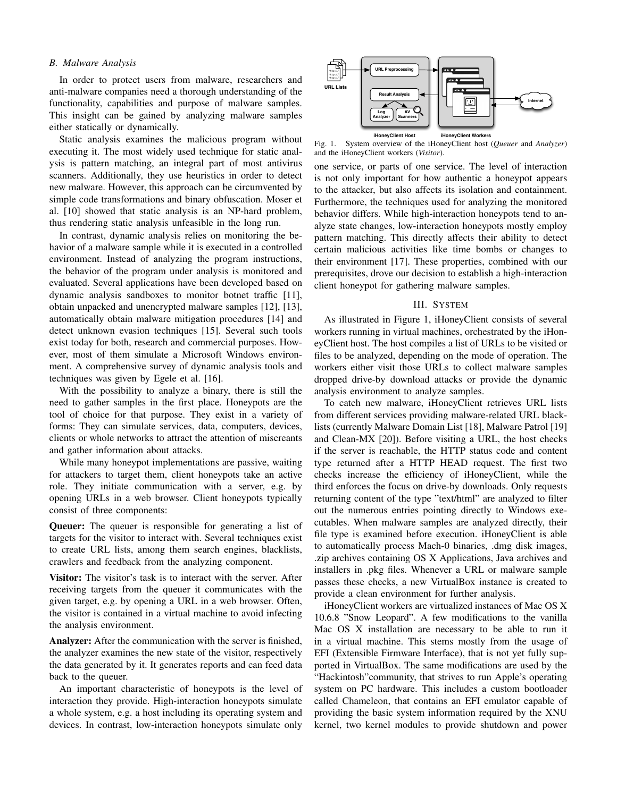## *B. Malware Analysis*

In order to protect users from malware, researchers and anti-malware companies need a thorough understanding of the functionality, capabilities and purpose of malware samples. This insight can be gained by analyzing malware samples either statically or dynamically.

Static analysis examines the malicious program without executing it. The most widely used technique for static analysis is pattern matching, an integral part of most antivirus scanners. Additionally, they use heuristics in order to detect new malware. However, this approach can be circumvented by simple code transformations and binary obfuscation. Moser et al. [10] showed that static analysis is an NP-hard problem, thus rendering static analysis unfeasible in the long run.

In contrast, dynamic analysis relies on monitoring the behavior of a malware sample while it is executed in a controlled environment. Instead of analyzing the program instructions, the behavior of the program under analysis is monitored and evaluated. Several applications have been developed based on dynamic analysis sandboxes to monitor botnet traffic [11], obtain unpacked and unencrypted malware samples [12], [13], automatically obtain malware mitigation procedures [14] and detect unknown evasion techniques [15]. Several such tools exist today for both, research and commercial purposes. However, most of them simulate a Microsoft Windows environment. A comprehensive survey of dynamic analysis tools and techniques was given by Egele et al. [16].

With the possibility to analyze a binary, there is still the need to gather samples in the first place. Honeypots are the tool of choice for that purpose. They exist in a variety of forms: They can simulate services, data, computers, devices, clients or whole networks to attract the attention of miscreants and gather information about attacks.

While many honeypot implementations are passive, waiting for attackers to target them, client honeypots take an active role. They initiate communication with a server, e.g. by opening URLs in a web browser. Client honeypots typically consist of three components:

Queuer: The queuer is responsible for generating a list of targets for the visitor to interact with. Several techniques exist to create URL lists, among them search engines, blacklists, crawlers and feedback from the analyzing component.

Visitor: The visitor's task is to interact with the server. After receiving targets from the queuer it communicates with the given target, e.g. by opening a URL in a web browser. Often, the visitor is contained in a virtual machine to avoid infecting the analysis environment.

Analyzer: After the communication with the server is finished, the analyzer examines the new state of the visitor, respectively the data generated by it. It generates reports and can feed data back to the queuer.

An important characteristic of honeypots is the level of interaction they provide. High-interaction honeypots simulate a whole system, e.g. a host including its operating system and devices. In contrast, low-interaction honeypots simulate only



Fig. 1. System overview of the iHoneyClient host (*Queuer* and *Analyzer*) and the iHoneyClient workers (*Visitor*).

one service, or parts of one service. The level of interaction is not only important for how authentic a honeypot appears to the attacker, but also affects its isolation and containment. Furthermore, the techniques used for analyzing the monitored behavior differs. While high-interaction honeypots tend to analyze state changes, low-interaction honeypots mostly employ pattern matching. This directly affects their ability to detect certain malicious activities like time bombs or changes to their environment [17]. These properties, combined with our prerequisites, drove our decision to establish a high-interaction client honeypot for gathering malware samples.

## III. SYSTEM

As illustrated in Figure 1, iHoneyClient consists of several workers running in virtual machines, orchestrated by the iHoneyClient host. The host compiles a list of URLs to be visited or files to be analyzed, depending on the mode of operation. The workers either visit those URLs to collect malware samples dropped drive-by download attacks or provide the dynamic analysis environment to analyze samples.

To catch new malware, iHoneyClient retrieves URL lists from different services providing malware-related URL blacklists (currently Malware Domain List [18], Malware Patrol [19] and Clean-MX [20]). Before visiting a URL, the host checks if the server is reachable, the HTTP status code and content type returned after a HTTP HEAD request. The first two checks increase the efficiency of iHoneyClient, while the third enforces the focus on drive-by downloads. Only requests returning content of the type "text/html" are analyzed to filter out the numerous entries pointing directly to Windows executables. When malware samples are analyzed directly, their file type is examined before execution. iHoneyClient is able to automatically process Mach-0 binaries, .dmg disk images, .zip archives containing OS X Applications, Java archives and installers in .pkg files. Whenever a URL or malware sample passes these checks, a new VirtualBox instance is created to provide a clean environment for further analysis.

iHoneyClient workers are virtualized instances of Mac OS X 10.6.8 "Snow Leopard". A few modifications to the vanilla Mac OS X installation are necessary to be able to run it in a virtual machine. This stems mostly from the usage of EFI (Extensible Firmware Interface), that is not yet fully supported in VirtualBox. The same modifications are used by the "Hackintosh"community, that strives to run Apple's operating system on PC hardware. This includes a custom bootloader called Chameleon, that contains an EFI emulator capable of providing the basic system information required by the XNU kernel, two kernel modules to provide shutdown and power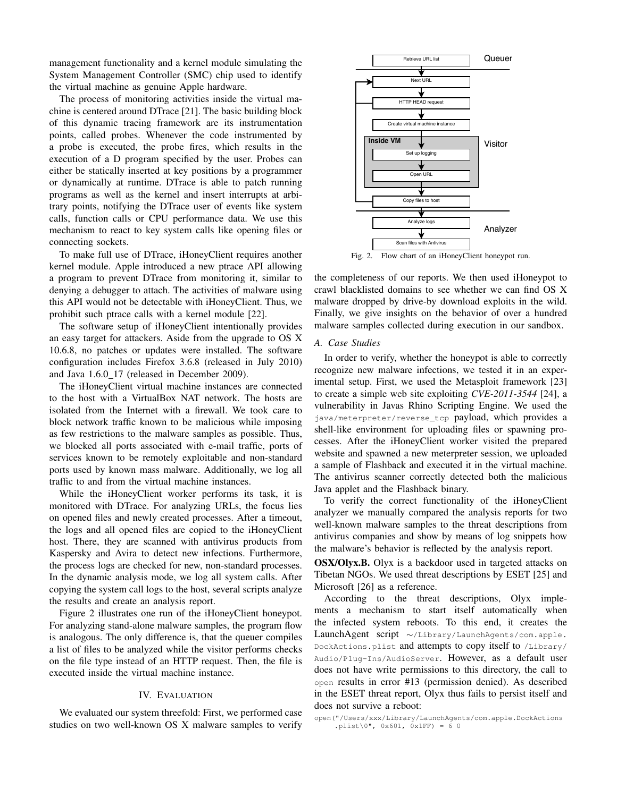management functionality and a kernel module simulating the System Management Controller (SMC) chip used to identify the virtual machine as genuine Apple hardware.

The process of monitoring activities inside the virtual machine is centered around DTrace [21]. The basic building block of this dynamic tracing framework are its instrumentation points, called probes. Whenever the code instrumented by a probe is executed, the probe fires, which results in the execution of a D program specified by the user. Probes can either be statically inserted at key positions by a programmer or dynamically at runtime. DTrace is able to patch running programs as well as the kernel and insert interrupts at arbitrary points, notifying the DTrace user of events like system calls, function calls or CPU performance data. We use this mechanism to react to key system calls like opening files or connecting sockets.

To make full use of DTrace, iHoneyClient requires another kernel module. Apple introduced a new ptrace API allowing a program to prevent DTrace from monitoring it, similar to denying a debugger to attach. The activities of malware using this API would not be detectable with iHoneyClient. Thus, we prohibit such ptrace calls with a kernel module [22].

The software setup of iHoneyClient intentionally provides an easy target for attackers. Aside from the upgrade to OS X 10.6.8, no patches or updates were installed. The software configuration includes Firefox 3.6.8 (released in July 2010) and Java 1.6.0 17 (released in December 2009).

The iHoneyClient virtual machine instances are connected to the host with a VirtualBox NAT network. The hosts are isolated from the Internet with a firewall. We took care to block network traffic known to be malicious while imposing as few restrictions to the malware samples as possible. Thus, we blocked all ports associated with e-mail traffic, ports of services known to be remotely exploitable and non-standard ports used by known mass malware. Additionally, we log all traffic to and from the virtual machine instances.

While the iHoneyClient worker performs its task, it is monitored with DTrace. For analyzing URLs, the focus lies on opened files and newly created processes. After a timeout, the logs and all opened files are copied to the iHoneyClient host. There, they are scanned with antivirus products from Kaspersky and Avira to detect new infections. Furthermore, the process logs are checked for new, non-standard processes. In the dynamic analysis mode, we log all system calls. After copying the system call logs to the host, several scripts analyze the results and create an analysis report.

Figure 2 illustrates one run of the iHoneyClient honeypot. For analyzing stand-alone malware samples, the program flow is analogous. The only difference is, that the queuer compiles a list of files to be analyzed while the visitor performs checks on the file type instead of an HTTP request. Then, the file is executed inside the virtual machine instance.

## IV. EVALUATION

We evaluated our system threefold: First, we performed case studies on two well-known OS X malware samples to verify



Fig. 2. Flow chart of an iHoneyClient honeypot run.

the completeness of our reports. We then used iHoneypot to crawl blacklisted domains to see whether we can find OS X malware dropped by drive-by download exploits in the wild. Finally, we give insights on the behavior of over a hundred malware samples collected during execution in our sandbox.

## *A. Case Studies*

In order to verify, whether the honeypot is able to correctly recognize new malware infections, we tested it in an experimental setup. First, we used the Metasploit framework [23] to create a simple web site exploiting *CVE-2011-3544* [24], a vulnerability in Javas Rhino Scripting Engine. We used the java/meterpreter/reverse\_tcp payload, which provides a shell-like environment for uploading files or spawning processes. After the iHoneyClient worker visited the prepared website and spawned a new meterpreter session, we uploaded a sample of Flashback and executed it in the virtual machine. The antivirus scanner correctly detected both the malicious Java applet and the Flashback binary.

To verify the correct functionality of the iHoneyClient analyzer we manually compared the analysis reports for two well-known malware samples to the threat descriptions from antivirus companies and show by means of log snippets how the malware's behavior is reflected by the analysis report.

OSX/Olyx.B. Olyx is a backdoor used in targeted attacks on Tibetan NGOs. We used threat descriptions by ESET [25] and Microsoft [26] as a reference.

According to the threat descriptions, Olyx implements a mechanism to start itself automatically when the infected system reboots. To this end, it creates the LaunchAgent script ∼/Library/LaunchAgents/com.apple. DockActions.plist and attempts to copy itself to /Library/ Audio/Plug-Ins/AudioServer. However, as a default user does not have write permissions to this directory, the call to open results in error #13 (permission denied). As described in the ESET threat report, Olyx thus fails to persist itself and does not survive a reboot:

open("/Users/xxx/Library/LaunchAgents/com.apple.DockActions .plist\0", 0x601, 0x1FF) = 6 0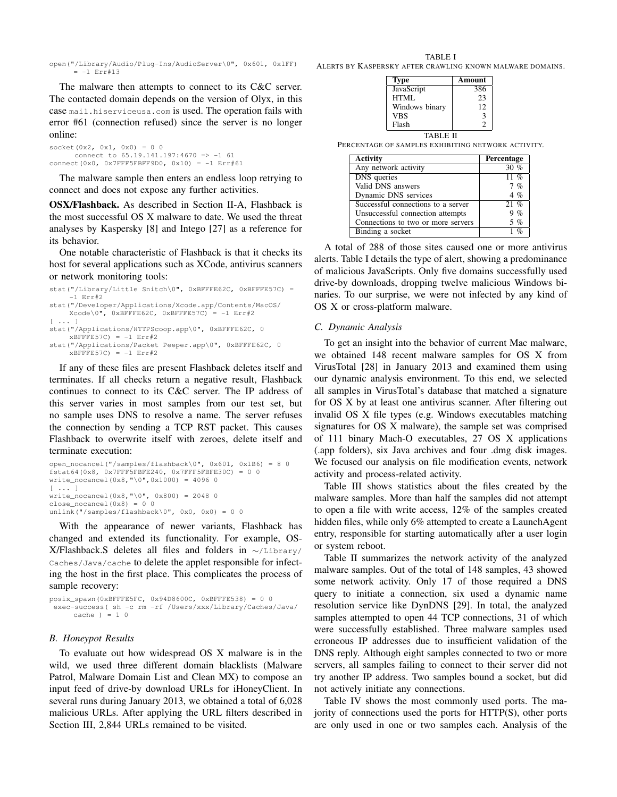open("/Library/Audio/Plug-Ins/AudioServer\0", 0x601, 0x1FF)  $= -1$  Err#13

The malware then attempts to connect to its C&C server. The contacted domain depends on the version of Olyx, in this case mail.hiserviceusa.com is used. The operation fails with error #61 (connection refused) since the server is no longer online:

```
socket(0x2, 0x1, 0x0) = 0 0
      connect to 65.19.141.197:4670 => -1 61
connect(0x0, 0x7FFF5FBFF9D0, 0x10) = -1 Err#61
```
The malware sample then enters an endless loop retrying to connect and does not expose any further activities.

OSX/Flashback. As described in Section II-A, Flashback is the most successful OS X malware to date. We used the threat analyses by Kaspersky [8] and Intego [27] as a reference for its behavior.

One notable characteristic of Flashback is that it checks its host for several applications such as XCode, antivirus scanners or network monitoring tools:

```
stat("/Library/Little Snitch\0", 0xBFFFE62C, 0xBFFFE57C) =
     -1 Err#2
stat("/Developer/Applications/Xcode.app/Contents/MacOS/
    Xcode\0", 0xBFFFE62C, 0xBFFFE57C = -1 Err#2
 [ ... ]
stat("/Applications/HTTPScoop.app\0", 0xBFFFE62C, 0
    xBFFFE57C = -1 Err#2stat("/Applications/Packet Peeper.app\0", 0xBFFFE62C, 0
    xBFFFE57C) = -1 Err#2
```
If any of these files are present Flashback deletes itself and terminates. If all checks return a negative result, Flashback continues to connect to its C&C server. The IP address of this server varies in most samples from our test set, but no sample uses DNS to resolve a name. The server refuses the connection by sending a TCP RST packet. This causes Flashback to overwrite itself with zeroes, delete itself and terminate execution:

```
open_nocancel("/samples/flashback\0", 0x601, 0x1B6) = 8 0
fstat64(0x8, 0x7FFF5FBFE240, 0x7FFF5FBFE30C) = 0 0
write_nocancel(0x8,"\0",0x1000) = 4096 0
 [ ... ]
write_nocancel(0x8,"\0", 0x800) = 2048 0
close\_nocancel(0x8) = 0 0
unlink("/samples/flashback\0", 0x0, 0x0) = 0 0
```
With the appearance of newer variants, Flashback has changed and extended its functionality. For example, OS-X/Flashback.S deletes all files and folders in ∼/Library/ Caches/Java/cache to delete the applet responsible for infecting the host in the first place. This complicates the process of sample recovery:

```
posix spawn(0xBFFFE5FC, 0x94D8600C, 0xBFFFE538) = 0 0
 exec-success( sh -c rm -rf /Users/xxx/Library/Caches/Java/
     cache ) = 1 0
```
#### *B. Honeypot Results*

To evaluate out how widespread OS X malware is in the wild, we used three different domain blacklists (Malware Patrol, Malware Domain List and Clean MX) to compose an input feed of drive-by download URLs for iHoneyClient. In several runs during January 2013, we obtained a total of 6,028 malicious URLs. After applying the URL filters described in Section III, 2,844 URLs remained to be visited.

TABLE I ALERTS BY KASPERSKY AFTER CRAWLING KNOWN MALWARE DOMAINS.

| <b>Type</b>    | Amount |  |
|----------------|--------|--|
| JavaScript     | 386    |  |
| HTML           | 23     |  |
| Windows binary | 12     |  |
| <b>VBS</b>     | 3      |  |
| Flash          |        |  |
| TABLE II       |        |  |

PERCENTAGE OF SAMPLES EXHIBITING NETWORK ACTIVITY.

| <b>Activity</b>                    | Percentage |
|------------------------------------|------------|
| Any network activity               | $30 \%$    |
| DNS queries                        | 11 %       |
| Valid DNS answers                  | $7\%$      |
| Dynamic DNS services               | 4%         |
| Successful connections to a server | $21\%$     |
| Unsuccessful connection attempts   | $9\%$      |
| Connections to two or more servers | $5\%$      |
| Binding a socket                   |            |

A total of 288 of those sites caused one or more antivirus alerts. Table I details the type of alert, showing a predominance of malicious JavaScripts. Only five domains successfully used drive-by downloads, dropping twelve malicious Windows binaries. To our surprise, we were not infected by any kind of OS X or cross-platform malware.

## *C. Dynamic Analysis*

To get an insight into the behavior of current Mac malware, we obtained 148 recent malware samples for OS X from VirusTotal [28] in January 2013 and examined them using our dynamic analysis environment. To this end, we selected all samples in VirusTotal's database that matched a signature for OS X by at least one antivirus scanner. After filtering out invalid OS X file types (e.g. Windows executables matching signatures for OS X malware), the sample set was comprised of 111 binary Mach-O executables, 27 OS X applications (.app folders), six Java archives and four .dmg disk images. We focused our analysis on file modification events, network activity and process-related activity.

Table III shows statistics about the files created by the malware samples. More than half the samples did not attempt to open a file with write access, 12% of the samples created hidden files, while only 6% attempted to create a LaunchAgent entry, responsible for starting automatically after a user login or system reboot.

Table II summarizes the network activity of the analyzed malware samples. Out of the total of 148 samples, 43 showed some network activity. Only 17 of those required a DNS query to initiate a connection, six used a dynamic name resolution service like DynDNS [29]. In total, the analyzed samples attempted to open 44 TCP connections, 31 of which were successfully established. Three malware samples used erroneous IP addresses due to insufficient validation of the DNS reply. Although eight samples connected to two or more servers, all samples failing to connect to their server did not try another IP address. Two samples bound a socket, but did not actively initiate any connections.

Table IV shows the most commonly used ports. The majority of connections used the ports for HTTP(S), other ports are only used in one or two samples each. Analysis of the